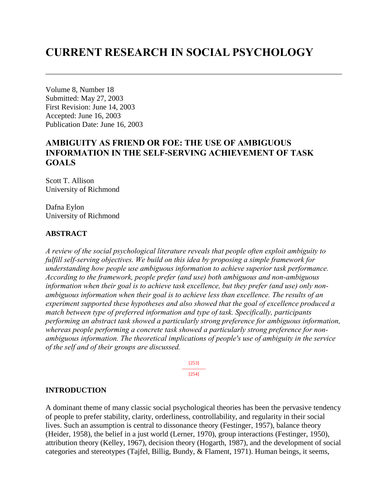# **CURRENT RESEARCH IN SOCIAL PSYCHOLOGY**

Volume 8, Number 18 Submitted: May 27, 2003 First Revision: June 14, 2003 Accepted: June 16, 2003 Publication Date: June 16, 2003

# **AMBIGUITY AS FRIEND OR FOE: THE USE OF AMBIGUOUS INFORMATION IN THE SELF-SERVING ACHIEVEMENT OF TASK GOALS**

Scott T. Allison University of Richmond

Dafna Eylon University of Richmond

## **ABSTRACT**

*A review of the social psychological literature reveals that people often exploit ambiguity to fulfill self-serving objectives. We build on this idea by proposing a simple framework for understanding how people use ambiguous information to achieve superior task performance. According to the framework, people prefer (and use) both ambiguous and non-ambiguous information when their goal is to achieve task excellence, but they prefer (and use) only nonambiguous information when their goal is to achieve less than excellence. The results of an experiment supported these hypotheses and also showed that the goal of excellence produced a match between type of preferred information and type of task. Specifically, participants performing an abstract task showed a particularly strong preference for ambiguous information, whereas people performing a concrete task showed a particularly strong preference for nonambiguous information. The theoretical implications of people's use of ambiguity in the service of the self and of their groups are discussed.*

> [253] --------------- [254]

#### **INTRODUCTION**

A dominant theme of many classic social psychological theories has been the pervasive tendency of people to prefer stability, clarity, orderliness, controllability, and regularity in their social lives. Such an assumption is central to dissonance theory (Festinger, 1957), balance theory (Heider, 1958), the belief in a just world (Lerner, 1970), group interactions (Festinger, 1950), attribution theory (Kelley, 1967), decision theory (Hogarth, 1987), and the development of social categories and stereotypes (Tajfel, Billig, Bundy, & Flament, 1971). Human beings, it seems,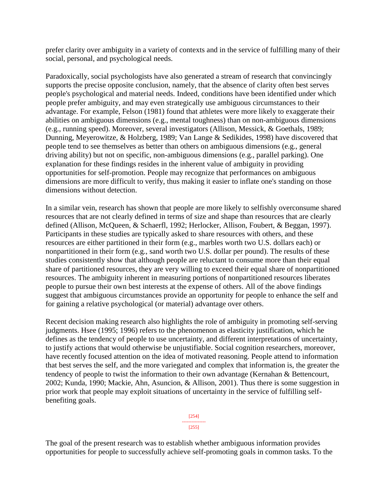prefer clarity over ambiguity in a variety of contexts and in the service of fulfilling many of their social, personal, and psychological needs.

Paradoxically, social psychologists have also generated a stream of research that convincingly supports the precise opposite conclusion, namely, that the absence of clarity often best serves people's psychological and material needs. Indeed, conditions have been identified under which people prefer ambiguity, and may even strategically use ambiguous circumstances to their advantage. For example, Felson (1981) found that athletes were more likely to exaggerate their abilities on ambiguous dimensions (e.g., mental toughness) than on non-ambiguous dimensions (e.g., running speed). Moreover, several investigators (Allison, Messick, & Goethals, 1989; Dunning, Meyerowitze, & Holzberg, 1989; Van Lange & Sedikides, 1998) have discovered that people tend to see themselves as better than others on ambiguous dimensions (e.g., general driving ability) but not on specific, non-ambiguous dimensions (e.g., parallel parking). One explanation for these findings resides in the inherent value of ambiguity in providing opportunities for self-promotion. People may recognize that performances on ambiguous dimensions are more difficult to verify, thus making it easier to inflate one's standing on those dimensions without detection.

In a similar vein, research has shown that people are more likely to selfishly overconsume shared resources that are not clearly defined in terms of size and shape than resources that are clearly defined (Allison, McQueen, & Schaerfl, 1992; Herlocker, Allison, Foubert, & Beggan, 1997). Participants in these studies are typically asked to share resources with others, and these resources are either partitioned in their form (e.g., marbles worth two U.S. dollars each) or nonpartitioned in their form (e.g., sand worth two U.S. dollar per pound). The results of these studies consistently show that although people are reluctant to consume more than their equal share of partitioned resources, they are very willing to exceed their equal share of nonpartitioned resources. The ambiguity inherent in measuring portions of nonpartitioned resources liberates people to pursue their own best interests at the expense of others. All of the above findings suggest that ambiguous circumstances provide an opportunity for people to enhance the self and for gaining a relative psychological (or material) advantage over others.

Recent decision making research also highlights the role of ambiguity in promoting self-serving judgments. Hsee (1995; 1996) refers to the phenomenon as elasticity justification, which he defines as the tendency of people to use uncertainty, and different interpretations of uncertainty, to justify actions that would otherwise be unjustifiable. Social cognition researchers, moreover, have recently focused attention on the idea of motivated reasoning. People attend to information that best serves the self, and the more variegated and complex that information is, the greater the tendency of people to twist the information to their own advantage (Kernahan & Bettencourt, 2002; Kunda, 1990; Mackie, Ahn, Asuncion, & Allison, 2001). Thus there is some suggestion in prior work that people may exploit situations of uncertainty in the service of fulfilling selfbenefiting goals.

> [254] --------------- [255]

The goal of the present research was to establish whether ambiguous information provides opportunities for people to successfully achieve self-promoting goals in common tasks. To the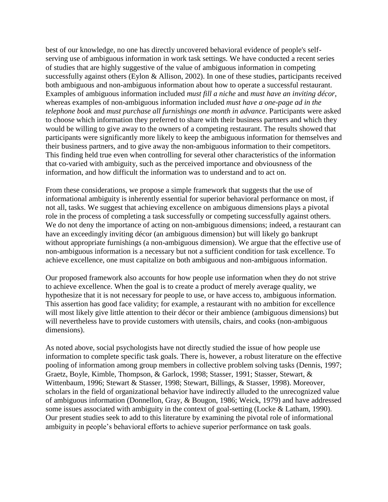best of our knowledge, no one has directly uncovered behavioral evidence of people's selfserving use of ambiguous information in work task settings. We have conducted a recent series of studies that are highly suggestive of the value of ambiguous information in competing successfully against others (Eylon & Allison, 2002). In one of these studies, participants received both ambiguous and non-ambiguous information about how to operate a successful restaurant. Examples of ambiguous information included *must fill a niche* and *must have an inviting décor*, whereas examples of non-ambiguous information included *must have a one-page ad in the telephone book* and *must purchase all furnishings one month in advance*. Participants were asked to choose which information they preferred to share with their business partners and which they would be willing to give away to the owners of a competing restaurant. The results showed that participants were significantly more likely to keep the ambiguous information for themselves and their business partners, and to give away the non-ambiguous information to their competitors. This finding held true even when controlling for several other characteristics of the information that co-varied with ambiguity, such as the perceived importance and obviousness of the information, and how difficult the information was to understand and to act on.

From these considerations, we propose a simple framework that suggests that the use of informational ambiguity is inherently essential for superior behavioral performance on most, if not all, tasks. We suggest that achieving excellence on ambiguous dimensions plays a pivotal role in the process of completing a task successfully or competing successfully against others. We do not deny the importance of acting on non-ambiguous dimensions; indeed, a restaurant can have an exceedingly inviting décor (an ambiguous dimension) but will likely go bankrupt without appropriate furnishings (a non-ambiguous dimension). We argue that the effective use of non-ambiguous information is a necessary but not a sufficient condition for task excellence. To achieve excellence, one must capitalize on both ambiguous and non-ambiguous information.

Our proposed framework also accounts for how people use information when they do not strive to achieve excellence. When the goal is to create a product of merely average quality, we hypothesize that it is not necessary for people to use, or have access to, ambiguous information. This assertion has good face validity; for example, a restaurant with no ambition for excellence will most likely give little attention to their décor or their ambience (ambiguous dimensions) but will nevertheless have to provide customers with utensils, chairs, and cooks (non-ambiguous dimensions).

As noted above, social psychologists have not directly studied the issue of how people use information to complete specific task goals. There is, however, a robust literature on the effective pooling of information among group members in collective problem solving tasks (Dennis, 1997; Graetz, Boyle, Kimble, Thompson, & Garlock, 1998; Stasser, 1991; Stasser, Stewart, & Wittenbaum, 1996; Stewart & Stasser, 1998; Stewart, Billings, & Stasser, 1998). Moreover, scholars in the field of organizational behavior have indirectly alluded to the unrecognized value of ambiguous information (Donnellon, Gray, & Bougon, 1986; Weick, 1979) and have addressed some issues associated with ambiguity in the context of goal-setting (Locke & Latham, 1990). Our present studies seek to add to this literature by examining the pivotal role of informational ambiguity in people's behavioral efforts to achieve superior performance on task goals.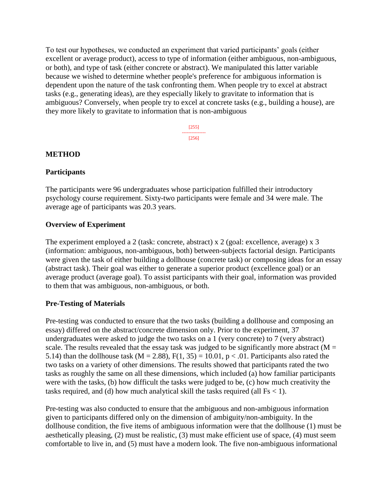To test our hypotheses, we conducted an experiment that varied participants' goals (either excellent or average product), access to type of information (either ambiguous, non-ambiguous, or both), and type of task (either concrete or abstract). We manipulated this latter variable because we wished to determine whether people's preference for ambiguous information is dependent upon the nature of the task confronting them. When people try to excel at abstract tasks (e.g., generating ideas), are they especially likely to gravitate to information that is ambiguous? Conversely, when people try to excel at concrete tasks (e.g., building a house), are they more likely to gravitate to information that is non-ambiguous

> [255] --------------- [256]

#### **METHOD**

#### **Participants**

The participants were 96 undergraduates whose participation fulfilled their introductory psychology course requirement. Sixty-two participants were female and 34 were male. The average age of participants was 20.3 years.

## **Overview of Experiment**

The experiment employed a 2 (task: concrete, abstract) x 2 (goal: excellence, average) x 3 (information: ambiguous, non-ambiguous, both) between-subjects factorial design. Participants were given the task of either building a dollhouse (concrete task) or composing ideas for an essay (abstract task). Their goal was either to generate a superior product (excellence goal) or an average product (average goal). To assist participants with their goal, information was provided to them that was ambiguous, non-ambiguous, or both.

# **Pre-Testing of Materials**

Pre-testing was conducted to ensure that the two tasks (building a dollhouse and composing an essay) differed on the abstract/concrete dimension only. Prior to the experiment, 37 undergraduates were asked to judge the two tasks on a 1 (very concrete) to 7 (very abstract) scale. The results revealed that the essay task was judged to be significantly more abstract ( $M =$ 5.14) than the dollhouse task (M = 2.88),  $F(1, 35) = 10.01$ , p < .01. Participants also rated the two tasks on a variety of other dimensions. The results showed that participants rated the two tasks as roughly the same on all these dimensions, which included (a) how familiar participants were with the tasks, (b) how difficult the tasks were judged to be, (c) how much creativity the tasks required, and (d) how much analytical skill the tasks required (all  $Fs < 1$ ).

Pre-testing was also conducted to ensure that the ambiguous and non-ambiguous information given to participants differed only on the dimension of ambiguity/non-ambiguity. In the dollhouse condition, the five items of ambiguous information were that the dollhouse (1) must be aesthetically pleasing, (2) must be realistic, (3) must make efficient use of space, (4) must seem comfortable to live in, and (5) must have a modern look. The five non-ambiguous informational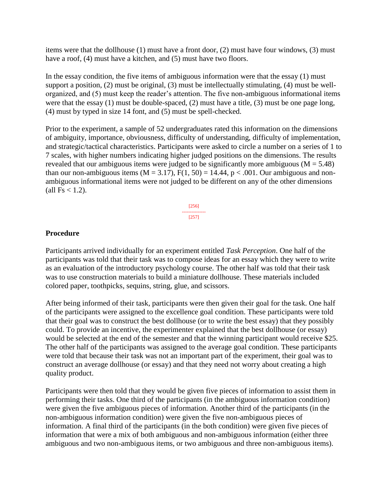items were that the dollhouse (1) must have a front door, (2) must have four windows, (3) must have a roof, (4) must have a kitchen, and (5) must have two floors.

In the essay condition, the five items of ambiguous information were that the essay (1) must support a position, (2) must be original, (3) must be intellectually stimulating, (4) must be wellorganized, and (5) must keep the reader's attention. The five non-ambiguous informational items were that the essay (1) must be double-spaced, (2) must have a title, (3) must be one page long, (4) must by typed in size 14 font, and (5) must be spell-checked.

Prior to the experiment, a sample of 52 undergraduates rated this information on the dimensions of ambiguity, importance, obviousness, difficulty of understanding, difficulty of implementation, and strategic/tactical characteristics. Participants were asked to circle a number on a series of 1 to 7 scales, with higher numbers indicating higher judged positions on the dimensions. The results revealed that our ambiguous items were judged to be significantly more ambiguous ( $M = 5.48$ ) than our non-ambiguous items ( $M = 3.17$ ),  $F(1, 50) = 14.44$ ,  $p < .001$ . Our ambiguous and nonambiguous informational items were not judged to be different on any of the other dimensions  $\text{(all Fs} < 1.2).$ 



## **Procedure**

Participants arrived individually for an experiment entitled *Task Perception*. One half of the participants was told that their task was to compose ideas for an essay which they were to write as an evaluation of the introductory psychology course. The other half was told that their task was to use construction materials to build a miniature dollhouse. These materials included colored paper, toothpicks, sequins, string, glue, and scissors.

After being informed of their task, participants were then given their goal for the task. One half of the participants were assigned to the excellence goal condition. These participants were told that their goal was to construct the best dollhouse (or to write the best essay) that they possibly could. To provide an incentive, the experimenter explained that the best dollhouse (or essay) would be selected at the end of the semester and that the winning participant would receive \$25. The other half of the participants was assigned to the average goal condition. These participants were told that because their task was not an important part of the experiment, their goal was to construct an average dollhouse (or essay) and that they need not worry about creating a high quality product.

Participants were then told that they would be given five pieces of information to assist them in performing their tasks. One third of the participants (in the ambiguous information condition) were given the five ambiguous pieces of information. Another third of the participants (in the non-ambiguous information condition) were given the five non-ambiguous pieces of information. A final third of the participants (in the both condition) were given five pieces of information that were a mix of both ambiguous and non-ambiguous information (either three ambiguous and two non-ambiguous items, or two ambiguous and three non-ambiguous items).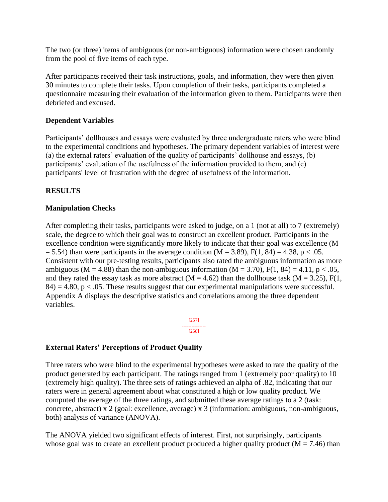The two (or three) items of ambiguous (or non-ambiguous) information were chosen randomly from the pool of five items of each type.

After participants received their task instructions, goals, and information, they were then given 30 minutes to complete their tasks. Upon completion of their tasks, participants completed a questionnaire measuring their evaluation of the information given to them. Participants were then debriefed and excused.

# **Dependent Variables**

Participants' dollhouses and essays were evaluated by three undergraduate raters who were blind to the experimental conditions and hypotheses. The primary dependent variables of interest were (a) the external raters' evaluation of the quality of participants' dollhouse and essays, (b) participants' evaluation of the usefulness of the information provided to them, and (c) participants' level of frustration with the degree of usefulness of the information.

## **RESULTS**

#### **Manipulation Checks**

After completing their tasks, participants were asked to judge, on a 1 (not at all) to 7 (extremely) scale, the degree to which their goal was to construct an excellent product. Participants in the excellence condition were significantly more likely to indicate that their goal was excellence (M  $= 5.54$ ) than were participants in the average condition (M = 3.89), F(1, 84) = 4.38, p < .05. Consistent with our pre-testing results, participants also rated the ambiguous information as more ambiguous (M = 4.88) than the non-ambiguous information (M = 3.70), F(1, 84) = 4.11, p < .05, and they rated the essay task as more abstract ( $M = 4.62$ ) than the dollhouse task ( $M = 3.25$ ), F(1,  $84$ ) = 4.80, p < .05. These results suggest that our experimental manipulations were successful. Appendix A displays the descriptive statistics and correlations among the three dependent variables.

> [257] --------------- [258]

# **External Raters' Perceptions of Product Quality**

Three raters who were blind to the experimental hypotheses were asked to rate the quality of the product generated by each participant. The ratings ranged from 1 (extremely poor quality) to 10 (extremely high quality). The three sets of ratings achieved an alpha of .82, indicating that our raters were in general agreement about what constituted a high or low quality product. We computed the average of the three ratings, and submitted these average ratings to a 2 (task: concrete, abstract) x 2 (goal: excellence, average) x 3 (information: ambiguous, non-ambiguous, both) analysis of variance (ANOVA).

The ANOVA yielded two significant effects of interest. First, not surprisingly, participants whose goal was to create an excellent product produced a higher quality product ( $M = 7.46$ ) than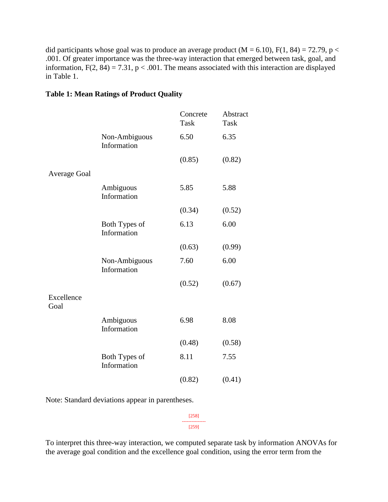did participants whose goal was to produce an average product ( $M = 6.10$ ),  $F(1, 84) = 72.79$ , p < .001. Of greater importance was the three-way interaction that emerged between task, goal, and information,  $F(2, 84) = 7.31$ ,  $p < .001$ . The means associated with this interaction are displayed in Table 1.

#### **Table 1: Mean Ratings of Product Quality**

|                              | Concrete<br><b>Task</b> | Abstract<br><b>Task</b> |
|------------------------------|-------------------------|-------------------------|
| Non-Ambiguous<br>Information | 6.50                    | 6.35                    |
|                              | (0.85)                  | (0.82)                  |
|                              |                         |                         |
| Ambiguous<br>Information     | 5.85                    | 5.88                    |
|                              | (0.34)                  | (0.52)                  |
| Both Types of<br>Information | 6.13                    | 6.00                    |
|                              | (0.63)                  | (0.99)                  |
| Non-Ambiguous<br>Information | 7.60                    | 6.00                    |
|                              | (0.52)                  | (0.67)                  |
|                              |                         |                         |
| Ambiguous<br>Information     | 6.98                    | 8.08                    |
|                              | (0.48)                  | (0.58)                  |
| Both Types of<br>Information | 8.11                    | 7.55                    |
|                              | (0.82)                  | (0.41)                  |
|                              |                         |                         |

Note: Standard deviations appear in parentheses.

[258] --------------- [259]

To interpret this three-way interaction, we computed separate task by information ANOVAs for the average goal condition and the excellence goal condition, using the error term from the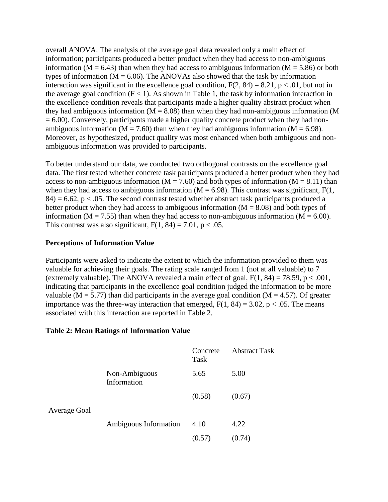overall ANOVA. The analysis of the average goal data revealed only a main effect of information; participants produced a better product when they had access to non-ambiguous information ( $M = 6.43$ ) than when they had access to ambiguous information ( $M = 5.86$ ) or both types of information ( $M = 6.06$ ). The ANOVAs also showed that the task by information interaction was significant in the excellence goal condition,  $F(2, 84) = 8.21$ ,  $p < .01$ , but not in the average goal condition  $(F < 1)$ . As shown in Table 1, the task by information interaction in the excellence condition reveals that participants made a higher quality abstract product when they had ambiguous information ( $M = 8.08$ ) than when they had non-ambiguous information (M  $= 6.00$ ). Conversely, participants made a higher quality concrete product when they had nonambiguous information ( $M = 7.60$ ) than when they had ambiguous information ( $M = 6.98$ ). Moreover, as hypothesized, product quality was most enhanced when both ambiguous and nonambiguous information was provided to participants.

To better understand our data, we conducted two orthogonal contrasts on the excellence goal data. The first tested whether concrete task participants produced a better product when they had access to non-ambiguous information ( $M = 7.60$ ) and both types of information ( $M = 8.11$ ) than when they had access to ambiguous information ( $M = 6.98$ ). This contrast was significant,  $F(1, 1)$  $84$ ) = 6.62, p < .05. The second contrast tested whether abstract task participants produced a better product when they had access to ambiguous information  $(M = 8.08)$  and both types of information ( $M = 7.55$ ) than when they had access to non-ambiguous information ( $M = 6.00$ ). This contrast was also significant,  $F(1, 84) = 7.01$ ,  $p < .05$ .

# **Perceptions of Information Value**

Participants were asked to indicate the extent to which the information provided to them was valuable for achieving their goals. The rating scale ranged from 1 (not at all valuable) to 7 (extremely valuable). The ANOVA revealed a main effect of goal,  $F(1, 84) = 78.59$ ,  $p < .001$ , indicating that participants in the excellence goal condition judged the information to be more valuable ( $M = 5.77$ ) than did participants in the average goal condition ( $M = 4.57$ ). Of greater importance was the three-way interaction that emerged,  $F(1, 84) = 3.02$ , p < .05. The means associated with this interaction are reported in Table 2.

#### **Table 2: Mean Ratings of Information Value**

|              |                              | Concrete<br>Task | <b>Abstract Task</b> |
|--------------|------------------------------|------------------|----------------------|
|              | Non-Ambiguous<br>Information | 5.65             | 5.00                 |
|              |                              | (0.58)           | (0.67)               |
| Average Goal |                              |                  |                      |
|              | Ambiguous Information        | 4.10             | 4.22                 |
|              |                              | (0.57)           | (0.74)               |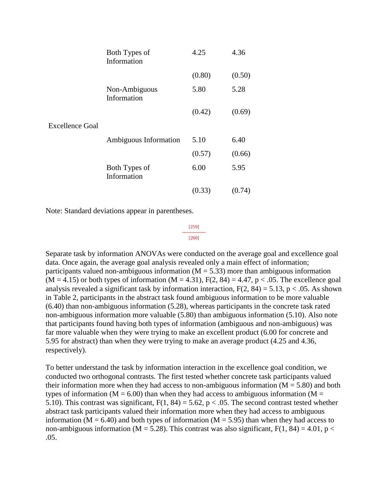|                        | Both Types of<br>Information | 4.25   | 4.36   |
|------------------------|------------------------------|--------|--------|
|                        |                              | (0.80) | (0.50) |
|                        | Non-Ambiguous<br>Information | 5.80   | 5.28   |
|                        |                              | (0.42) | (0.69) |
| <b>Excellence Goal</b> |                              |        |        |
|                        | Ambiguous Information        | 5.10   | 6.40   |
|                        |                              | (0.57) | (0.66) |
|                        | Both Types of<br>Information | 6.00   | 5.95   |
|                        |                              | (0.33) | (0.74) |

Note: Standard deviations appear in parentheses.

[259] --------------- [260]

Separate task by information ANOVAs were conducted on the average goal and excellence goal data. Once again, the average goal analysis revealed only a main effect of information; participants valued non-ambiguous information ( $M = 5.33$ ) more than ambiguous information  $(M = 4.15)$  or both types of information  $(M = 4.31)$ ,  $F(2, 84) = 4.47$ ,  $p < .05$ . The excellence goal analysis revealed a significant task by information interaction,  $F(2, 84) = 5.13$ , p < .05. As shown in Table 2, participants in the abstract task found ambiguous information to be more valuable (6.40) than non-ambiguous information (5.28), whereas participants in the concrete task rated non-ambiguous information more valuable (5.80) than ambiguous information (5.10). Also note that participants found having both types of information (ambiguous and non-ambiguous) was far more valuable when they were trying to make an excellent product (6.00 for concrete and 5.95 for abstract) than when they were trying to make an average product (4.25 and 4.36, respectively).

To better understand the task by information interaction in the excellence goal condition, we conducted two orthogonal contrasts. The first tested whether concrete task participants valued their information more when they had access to non-ambiguous information  $(M = 5.80)$  and both types of information ( $M = 6.00$ ) than when they had access to ambiguous information ( $M =$ 5.10). This contrast was significant,  $F(1, 84) = 5.62$ ,  $p < .05$ . The second contrast tested whether abstract task participants valued their information more when they had access to ambiguous information ( $M = 6.40$ ) and both types of information ( $M = 5.95$ ) than when they had access to non-ambiguous information ( $M = 5.28$ ). This contrast was also significant,  $F(1, 84) = 4.01$ ,  $p <$ .05.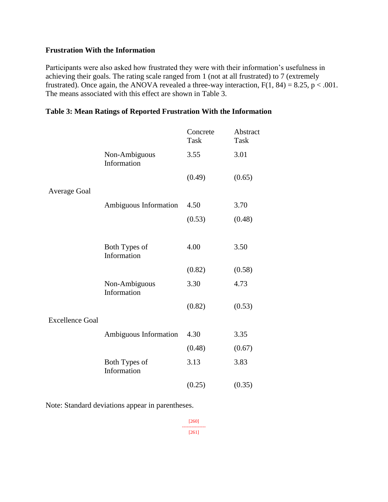#### **Frustration With the Information**

Participants were also asked how frustrated they were with their information's usefulness in achieving their goals. The rating scale ranged from 1 (not at all frustrated) to 7 (extremely frustrated). Once again, the ANOVA revealed a three-way interaction,  $F(1, 84) = 8.25$ , p < .001. The means associated with this effect are shown in Table 3.

|                        |                              | Concrete<br><b>Task</b> | Abstract<br><b>Task</b> |
|------------------------|------------------------------|-------------------------|-------------------------|
|                        | Non-Ambiguous<br>Information | 3.55                    | 3.01                    |
|                        |                              | (0.49)                  | (0.65)                  |
| Average Goal           |                              |                         |                         |
|                        | Ambiguous Information        | 4.50                    | 3.70                    |
|                        |                              | (0.53)                  | (0.48)                  |
|                        |                              |                         |                         |
|                        | Both Types of<br>Information | 4.00                    | 3.50                    |
|                        |                              | (0.82)                  | (0.58)                  |
|                        | Non-Ambiguous<br>Information | 3.30                    | 4.73                    |
|                        |                              | (0.82)                  | (0.53)                  |
| <b>Excellence Goal</b> |                              |                         |                         |
|                        | Ambiguous Information        | 4.30                    | 3.35                    |
|                        |                              | (0.48)                  | (0.67)                  |
|                        | Both Types of<br>Information | 3.13                    | 3.83                    |
|                        |                              | (0.25)                  | (0.35)                  |

#### **Table 3: Mean Ratings of Reported Frustration With the Information**

Note: Standard deviations appear in parentheses.

[260] --------------- [261]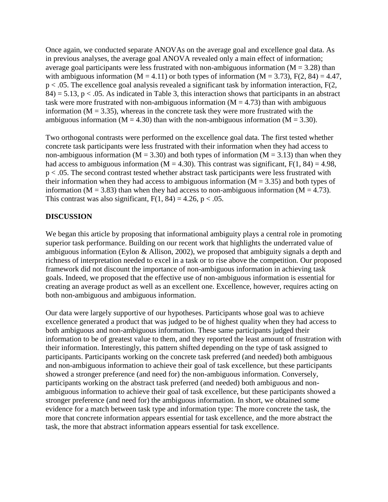Once again, we conducted separate ANOVAs on the average goal and excellence goal data. As in previous analyses, the average goal ANOVA revealed only a main effect of information; average goal participants were less frustrated with non-ambiguous information ( $M = 3.28$ ) than with ambiguous information (M = 4.11) or both types of information (M = 3.73),  $F(2, 84) = 4.47$ , p < .05. The excellence goal analysis revealed a significant task by information interaction, F(2,  $84$ ) = 5.13, p < .05. As indicated in Table 3, this interaction shows that participants in an abstract task were more frustrated with non-ambiguous information  $(M = 4.73)$  than with ambiguous information ( $M = 3.35$ ), whereas in the concrete task they were more frustrated with the ambiguous information ( $M = 4.30$ ) than with the non-ambiguous information ( $M = 3.30$ ).

Two orthogonal contrasts were performed on the excellence goal data. The first tested whether concrete task participants were less frustrated with their information when they had access to non-ambiguous information ( $M = 3.30$ ) and both types of information ( $M = 3.13$ ) than when they had access to ambiguous information ( $M = 4.30$ ). This contrast was significant,  $F(1, 84) = 4.98$ , p < .05. The second contrast tested whether abstract task participants were less frustrated with their information when they had access to ambiguous information ( $M = 3.35$ ) and both types of information ( $M = 3.83$ ) than when they had access to non-ambiguous information ( $M = 4.73$ ). This contrast was also significant,  $F(1, 84) = 4.26$ ,  $p < .05$ .

# **DISCUSSION**

We began this article by proposing that informational ambiguity plays a central role in promoting superior task performance. Building on our recent work that highlights the underrated value of ambiguous information (Eylon & Allison, 2002), we proposed that ambiguity signals a depth and richness of interpretation needed to excel in a task or to rise above the competition. Our proposed framework did not discount the importance of non-ambiguous information in achieving task goals. Indeed, we proposed that the effective use of non-ambiguous information is essential for creating an average product as well as an excellent one. Excellence, however, requires acting on both non-ambiguous and ambiguous information.

Our data were largely supportive of our hypotheses. Participants whose goal was to achieve excellence generated a product that was judged to be of highest quality when they had access to both ambiguous and non-ambiguous information. These same participants judged their information to be of greatest value to them, and they reported the least amount of frustration with their information. Interestingly, this pattern shifted depending on the type of task assigned to participants. Participants working on the concrete task preferred (and needed) both ambiguous and non-ambiguous information to achieve their goal of task excellence, but these participants showed a stronger preference (and need for) the non-ambiguous information. Conversely, participants working on the abstract task preferred (and needed) both ambiguous and nonambiguous information to achieve their goal of task excellence, but these participants showed a stronger preference (and need for) the ambiguous information. In short, we obtained some evidence for a match between task type and information type: The more concrete the task, the more that concrete information appears essential for task excellence, and the more abstract the task, the more that abstract information appears essential for task excellence.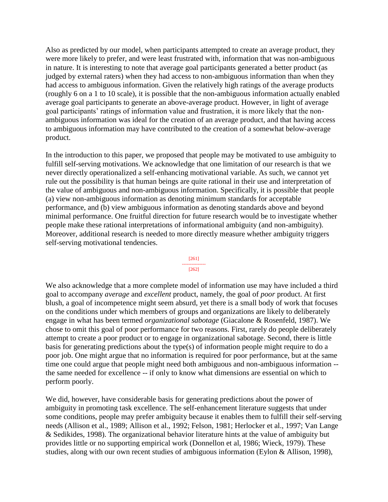Also as predicted by our model, when participants attempted to create an average product, they were more likely to prefer, and were least frustrated with, information that was non-ambiguous in nature. It is interesting to note that average goal participants generated a better product (as judged by external raters) when they had access to non-ambiguous information than when they had access to ambiguous information. Given the relatively high ratings of the average products (roughly 6 on a 1 to 10 scale), it is possible that the non-ambiguous information actually enabled average goal participants to generate an above-average product. However, in light of average goal participants' ratings of information value and frustration, it is more likely that the nonambiguous information was ideal for the creation of an average product, and that having access to ambiguous information may have contributed to the creation of a somewhat below-average product.

In the introduction to this paper, we proposed that people may be motivated to use ambiguity to fulfill self-serving motivations. We acknowledge that one limitation of our research is that we never directly operationalized a self-enhancing motivational variable. As such, we cannot yet rule out the possibility is that human beings are quite rational in their use and interpretation of the value of ambiguous and non-ambiguous information. Specifically, it is possible that people (a) view non-ambiguous information as denoting minimum standards for acceptable performance, and (b) view ambiguous information as denoting standards above and beyond minimal performance. One fruitful direction for future research would be to investigate whether people make these rational interpretations of informational ambiguity (and non-ambiguity). Moreover, additional research is needed to more directly measure whether ambiguity triggers self-serving motivational tendencies.

#### [261] --------------- [262]

We also acknowledge that a more complete model of information use may have included a third goal to accompany *average* and *excellent* product, namely, the goal of *poor* product. At first blush, a goal of incompetence might seem absurd, yet there is a small body of work that focuses on the conditions under which members of groups and organizations are likely to deliberately engage in what has been termed *organizational sabotage* (Giacalone & Rosenfeld, 1987). We chose to omit this goal of poor performance for two reasons. First, rarely do people deliberately attempt to create a poor product or to engage in organizational sabotage. Second, there is little basis for generating predictions about the type(s) of information people might require to do a poor job. One might argue that no information is required for poor performance, but at the same time one could argue that people might need both ambiguous and non-ambiguous information - the same needed for excellence -- if only to know what dimensions are essential on which to perform poorly.

We did, however, have considerable basis for generating predictions about the power of ambiguity in promoting task excellence. The self-enhancement literature suggests that under some conditions, people may prefer ambiguity because it enables them to fulfill their self-serving needs (Allison et al., 1989; Allison et al., 1992; Felson, 1981; Herlocker et al., 1997; Van Lange & Sedikides, 1998). The organizational behavior literature hints at the value of ambiguity but provides little or no supporting empirical work (Donnellon et al, 1986; Wieck, 1979). These studies, along with our own recent studies of ambiguous information (Eylon & Allison, 1998),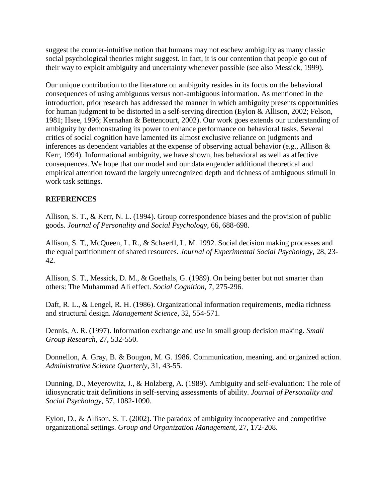suggest the counter-intuitive notion that humans may not eschew ambiguity as many classic social psychological theories might suggest. In fact, it is our contention that people go out of their way to exploit ambiguity and uncertainty whenever possible (see also Messick, 1999).

Our unique contribution to the literature on ambiguity resides in its focus on the behavioral consequences of using ambiguous versus non-ambiguous information. As mentioned in the introduction, prior research has addressed the manner in which ambiguity presents opportunities for human judgment to be distorted in a self-serving direction (Eylon & Allison, 2002; Felson, 1981; Hsee, 1996; Kernahan & Bettencourt, 2002). Our work goes extends our understanding of ambiguity by demonstrating its power to enhance performance on behavioral tasks. Several critics of social cognition have lamented its almost exclusive reliance on judgments and inferences as dependent variables at the expense of observing actual behavior (e.g., Allison & Kerr, 1994). Informational ambiguity, we have shown, has behavioral as well as affective consequences. We hope that our model and our data engender additional theoretical and empirical attention toward the largely unrecognized depth and richness of ambiguous stimuli in work task settings.

# **REFERENCES**

Allison, S. T., & Kerr, N. L. (1994). Group correspondence biases and the provision of public goods. *Journal of Personality and Social Psychology*, 66, 688-698.

Allison, S. T., McQueen, L. R., & Schaerfl, L. M. 1992. Social decision making processes and the equal partitionment of shared resources. *Journal of Experimental Social Psychology*, 28, 23- 42.

Allison, S. T., Messick, D. M., & Goethals, G. (1989). On being better but not smarter than others: The Muhammad Ali effect. *Social Cognition*, 7, 275-296.

Daft, R. L., & Lengel, R. H. (1986). Organizational information requirements, media richness and structural design. *Management Science*, 32, 554-571.

Dennis, A. R. (1997). Information exchange and use in small group decision making. *Small Group Research*, 27, 532-550.

Donnellon, A. Gray, B. & Bougon, M. G. 1986. Communication, meaning, and organized action. *Administrative Science Quarterly*, 31, 43-55.

Dunning, D., Meyerowitz, J., & Holzberg, A. (1989). Ambiguity and self-evaluation: The role of idiosyncratic trait definitions in self-serving assessments of ability. *Journal of Personality and Social Psychology*, 57, 1082-1090.

Eylon, D., & Allison, S. T. (2002). The paradox of ambiguity incooperative and competitive organizational settings. *Group and Organization Management*, 27, 172-208.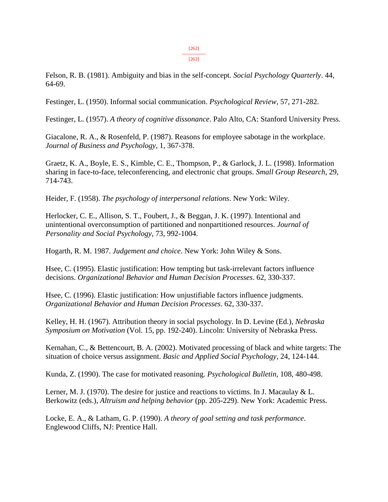[263]

Felson, R. B. (1981). Ambiguity and bias in the self-concept. *Social Psychology Quarterly*. 44, 64-69.

Festinger, L. (1950). Informal social communication. *Psychological Review*, 57, 271-282.

Festinger, L. (1957). *A theory of cognitive dissonance*. Palo Alto, CA: Stanford University Press.

Giacalone, R. A., & Rosenfeld, P. (1987). Reasons for employee sabotage in the workplace. *Journal of Business and Psychology*, 1, 367-378.

Graetz, K. A., Boyle, E. S., Kimble, C. E., Thompson, P., & Garlock, J. L. (1998). Information sharing in face-to-face, teleconferencing, and electronic chat groups. *Small Group Research*, 29, 714-743.

Heider, F. (1958). *The psychology of interpersonal relations*. New York: Wiley.

Herlocker, C. E., Allison, S. T., Foubert, J., & Beggan, J. K. (1997). Intentional and unintentional overconsumption of partitioned and nonpartitioned resources. *Journal of Personality and Social Psychology*, 73, 992-1004.

Hogarth, R. M. 1987. *Judgement and choice*. New York: John Wiley & Sons.

Hsee, C. (1995). Elastic justification: How tempting but task-irrelevant factors influence decisions. *Organizational Behavior and Human Decision Processes*. 62, 330-337.

Hsee, C. (1996). Elastic justification: How unjustifiable factors influence judgments. *Organizational Behavior and Human Decision Processes*. 62, 330-337.

Kelley, H. H. (1967). Attribution theory in social psychology. In D. Levine (Ed.), *Nebraska Symposium on Motivation* (Vol. 15, pp. 192-240). Lincoln: University of Nebraska Press.

Kernahan, C., & Bettencourt, B. A. (2002). Motivated processing of black and white targets: The situation of choice versus assignment. *Basic and Applied Social Psychology*, 24, 124-144.

Kunda, Z. (1990). The case for motivated reasoning. *Psychological Bulletin*, 108, 480-498.

Lerner, M. J. (1970). The desire for justice and reactions to victims. In J. Macaulay & L. Berkowitz (eds.), *Altruism and helping behavior* (pp. 205-229). New York: Academic Press.

Locke, E. A., & Latham, G. P. (1990). *A theory of goal setting and task performance*. Englewood Cliffs, NJ: Prentice Hall.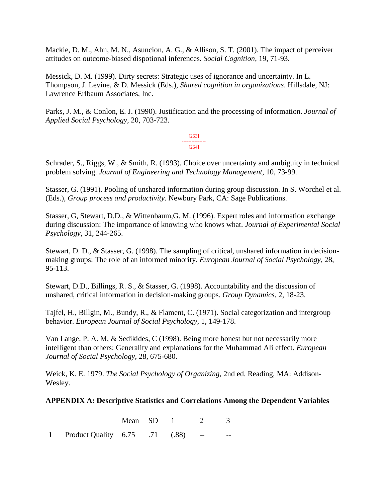Mackie, D. M., Ahn, M. N., Asuncion, A. G., & Allison, S. T. (2001). The impact of perceiver attitudes on outcome-biased dispotional inferences. *Social Cognition*, 19, 71-93.

Messick, D. M. (1999). Dirty secrets: Strategic uses of ignorance and uncertainty. In L. Thompson, J. Levine, & D. Messick (Eds.), *Shared cognition in organizations*. Hillsdale, NJ: Lawrence Erlbaum Associates, Inc.

Parks, J. M., & Conlon, E. J. (1990). Justification and the processing of information. *Journal of Applied Social Psychology*, 20, 703-723.

> [263] --------------- [264]

Schrader, S., Riggs, W., & Smith, R. (1993). Choice over uncertainty and ambiguity in technical problem solving. *Journal of Engineering and Technology Management*, 10, 73-99.

Stasser, G. (1991). Pooling of unshared information during group discussion. In S. Worchel et al. (Eds.), *Group process and productivity*. Newbury Park, CA: Sage Publications.

Stasser, G, Stewart, D.D., & Wittenbaum,G. M. (1996). Expert roles and information exchange during discussion: The importance of knowing who knows what. *Journal of Experimental Social Psychology*, 31, 244-265.

Stewart, D. D., & Stasser, G. (1998). The sampling of critical, unshared information in decisionmaking groups: The role of an informed minority. *European Journal of Social Psychology*, 28, 95-113.

Stewart, D.D., Billings, R. S., & Stasser, G. (1998). Accountability and the discussion of unshared, critical information in decision-making groups. *Group Dynamics*, 2, 18-23.

Tajfel, H., Billgin, M., Bundy, R., & Flament, C. (1971). Social categorization and intergroup behavior. *European Journal of Social Psychology*, 1, 149-178.

Van Lange, P. A. M, & Sedikides, C (1998). Being more honest but not necessarily more intelligent than others: Generality and explanations for the Muhammad Ali effect. *European Journal of Social Psychology*, 28, 675-680.

Weick, K. E. 1979. *The Social Psychology of Organizing*, 2nd ed. Reading, MA: Addison-Wesley.

#### **APPENDIX A: Descriptive Statistics and Correlations Among the Dependent Variables**

|                                     | Mean SD 1 |  | 2 3 |  |
|-------------------------------------|-----------|--|-----|--|
| 1 Product Quality 6.75 .71 (.88) -- |           |  |     |  |